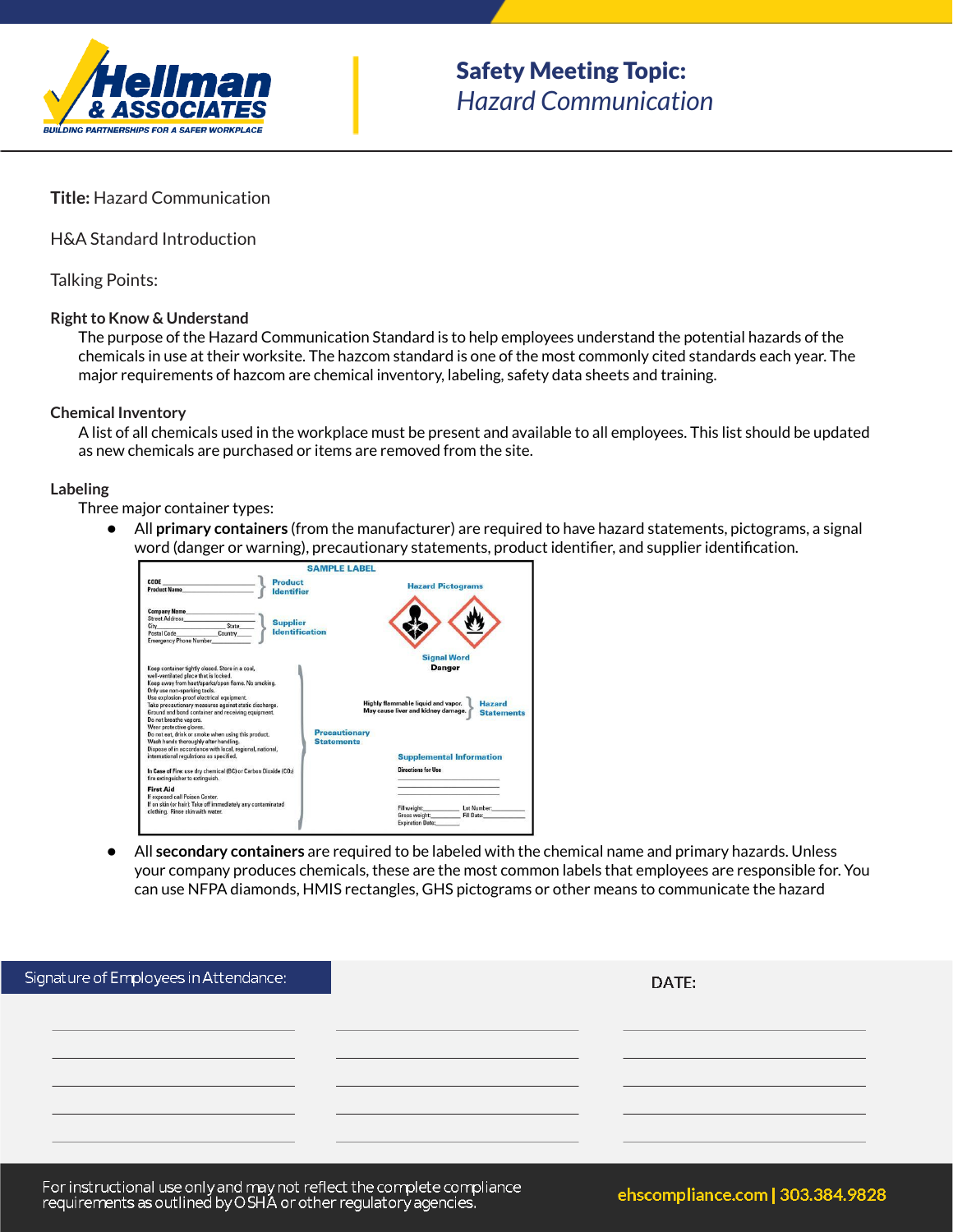

## **Title:** Hazard Communication

H&A Standard Introduction

Talking Points:

#### **Right to Know & Understand**

The purpose of the Hazard Communication Standard is to help employees understand the potential hazards of the chemicals in use at their worksite. The hazcom standard is one of the most commonly cited standards each year. The major requirements of hazcom are chemical inventory, labeling, safety data sheets and training.

#### **Chemical Inventory**

A list of all chemicals used in the workplace must be present and available to all employees. This list should be updated as new chemicals are purchased or items are removed from the site.

## **Labeling**

Three major container types:

● All **primary containers** (from the manufacturer) are required to have hazard statements, pictograms, a signal word (danger or warning), precautionary statements, product identifier, and supplier identification.



● All **secondary containers** are required to be labeled with the chemical name and primary hazards. Unless your company produces chemicals, these are the most common labels that employees are responsible for. You can use NFPA diamonds, HMIS rectangles, GHS pictograms or other means to communicate the hazard

| iignature of Employees in Attendance: I | DATE: |  |
|-----------------------------------------|-------|--|
|                                         |       |  |
|                                         |       |  |
|                                         |       |  |
|                                         |       |  |
|                                         |       |  |

For instructional use only and may not reflect the complete compliance requirements as outlined by OSHA or other regulatory agencies.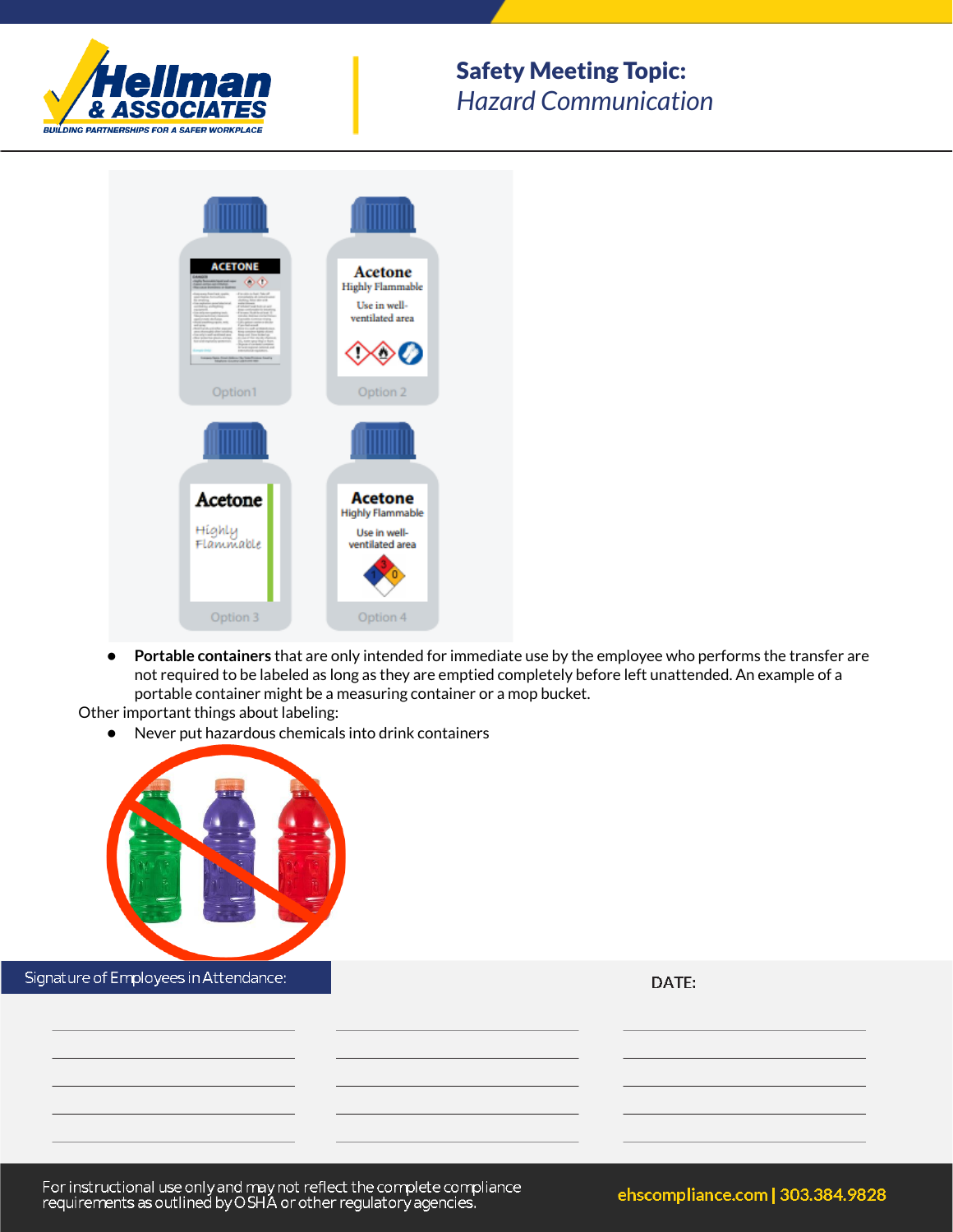

# Safety Meeting Topic: *Hazard Communication*



● **Portable containers** that are only intended for immediate use by the employee who performs the transfer are not required to be labeled as long as they are emptied completely before left unattended. An example of a portable container might be a measuring container or a mop bucket.

Other important things about labeling:

● Never put hazardous chemicals into drink containers



DATE:

For instructional use only and may not reflect the complete compliance<br>requirements as outlined by OSHA or other regulatory agencies.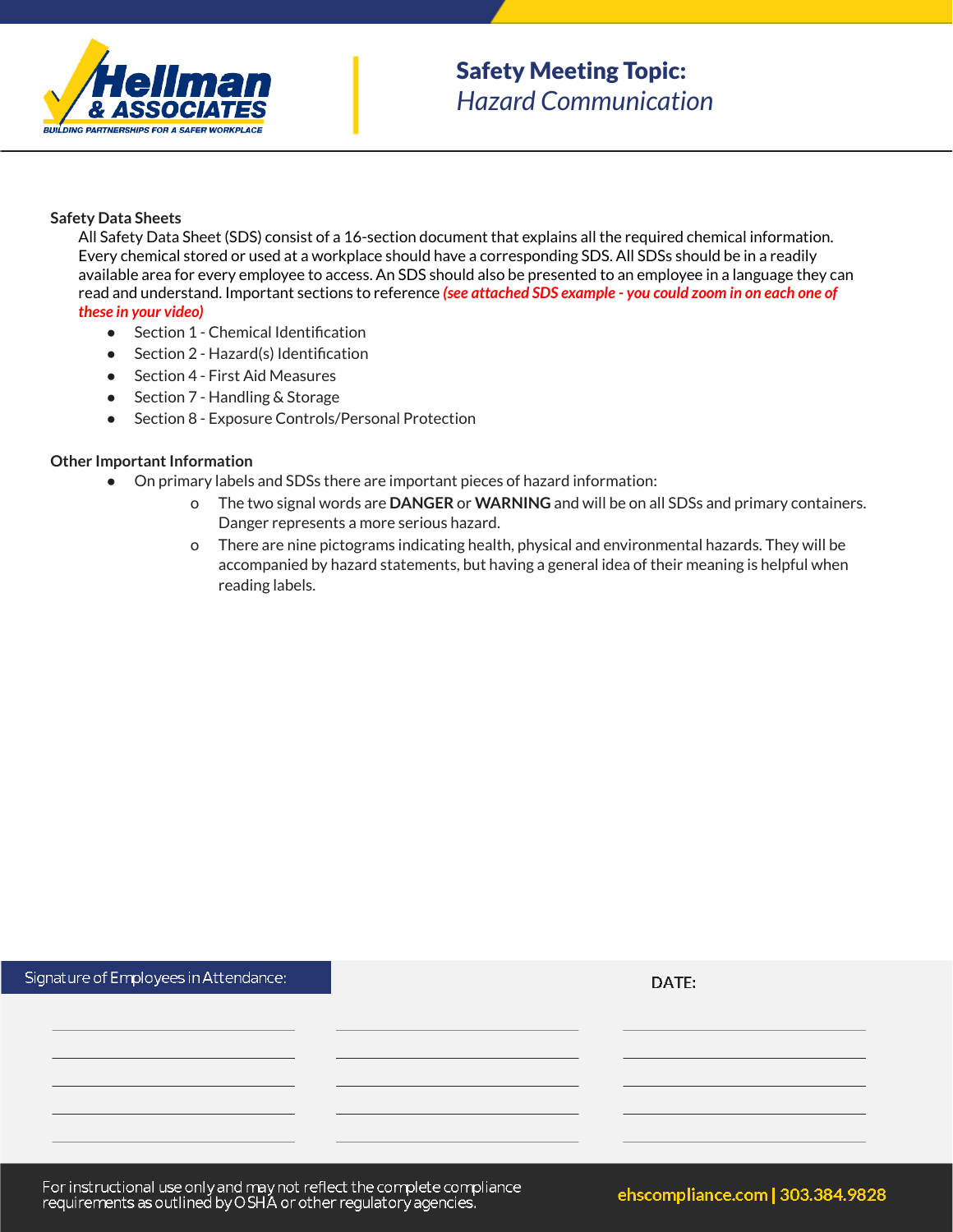

## **Safety Data Sheets**

All Safety Data Sheet (SDS) consist of a 16-section document that explains all the required chemical information. Every chemical stored or used at a workplace should have a corresponding SDS. All SDSs should be in a readily available area for every employee to access. An SDS should also be presented to an employee in a language they can read and understand. Important sections to reference *(see attached SDS example - you could zoom in on each one of these in your video)*

- Section 1 Chemical Identification
- Section 2 Hazard(s) Identification
- Section 4 First Aid Measures
- Section 7 Handling & Storage
- Section 8 Exposure Controls/Personal Protection

## **Other Important Information**

- On primary labels and SDSs there are important pieces of hazard information:
	- o The two signal words are **DANGER** or **WARNING** and will be on all SDSs and primary containers. Danger represents a more serious hazard.
	- o There are nine pictograms indicating health, physical and environmental hazards. They will be accompanied by hazard statements, but having a general idea of their meaning is helpful when reading labels.

| Signature of Employees in Attendance: | DATE: |
|---------------------------------------|-------|
|                                       |       |
|                                       |       |
|                                       |       |
|                                       |       |
|                                       |       |
|                                       |       |

For instructional use only and may not reflect the complete compliance<br>requirements as outlined by OSHA or other regulatory agencies.